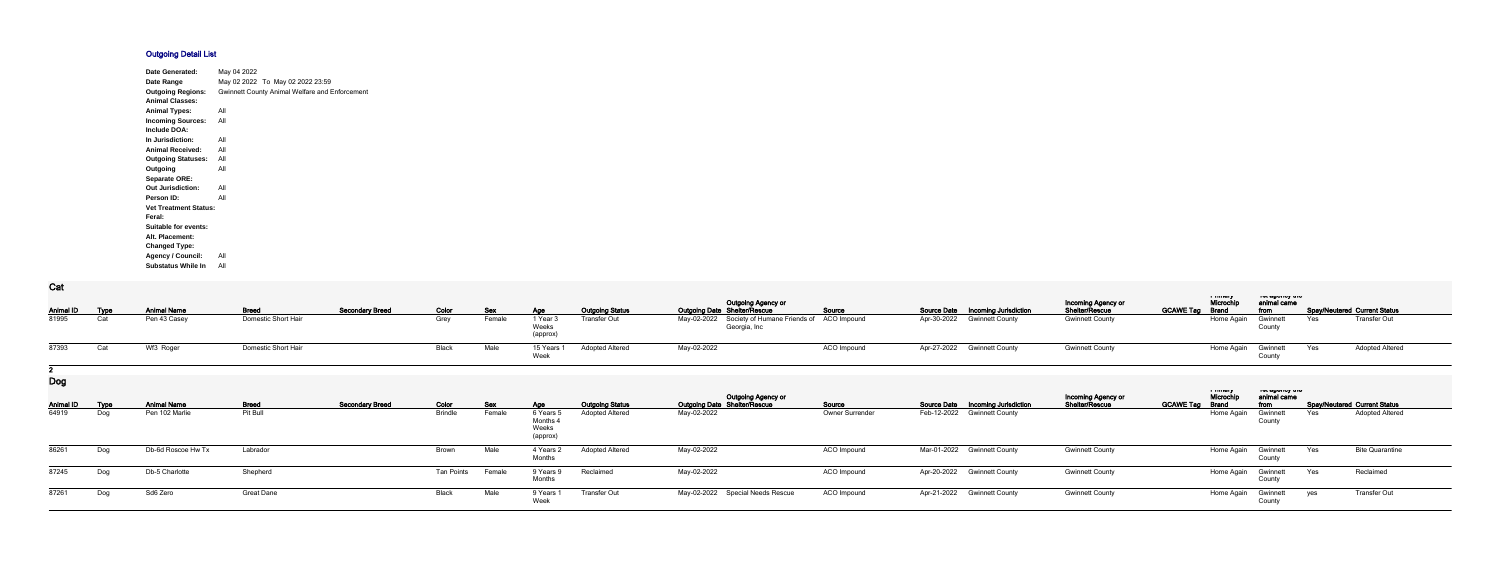## **Outgoing Detail List**

| <b>Date Generated:</b>       | May 04 2022                                    |  |
|------------------------------|------------------------------------------------|--|
| Date Range                   | May 02 2022 To May 02 2022 23:59               |  |
| <b>Outgoing Regions:</b>     | Gwinnett County Animal Welfare and Enforcement |  |
| <b>Animal Classes:</b>       |                                                |  |
| <b>Animal Types:</b>         | All                                            |  |
| <b>Incoming Sources:</b>     | All                                            |  |
| Include DOA:                 |                                                |  |
| In Jurisdiction:             | All                                            |  |
| <b>Animal Received:</b>      | All                                            |  |
| <b>Outgoing Statuses:</b>    | All                                            |  |
| Outgoing                     | All                                            |  |
| <b>Separate ORE:</b>         |                                                |  |
| <b>Out Jurisdiction:</b>     | All                                            |  |
| Person ID:                   | All                                            |  |
| <b>Vet Treatment Status:</b> |                                                |  |
| Feral:                       |                                                |  |
| Suitable for events:         |                                                |  |
| Alt. Placement:              |                                                |  |
| <b>Changed Type:</b>         |                                                |  |
| <b>Agency / Council:</b>     | All                                            |  |
| <b>Substatus While In</b>    | All                                            |  |

**Cat**

|                                    |                        |                               |            |                                          |                        | <b>Outgoing Agency or</b>                                   |                    |                                                    | Incoming Agency or     |                  | i minury<br>Microchi | יייי ששטייט אי<br>animal came          |                                     |
|------------------------------------|------------------------|-------------------------------|------------|------------------------------------------|------------------------|-------------------------------------------------------------|--------------------|----------------------------------------------------|------------------------|------------------|----------------------|----------------------------------------|-------------------------------------|
| <b>Breed</b><br><b>Animal Name</b> | <b>Secondary Breed</b> | Color                         | <b>Sex</b> | <b>Age</b>                               | <b>Outgoing Status</b> | <b>Outgoing Date Shelter/Rescue</b>                         | Source             | <b>Source Date</b><br><b>Incoming Jurisdiction</b> | Shelter/Rescue         | <b>GCAWE Tag</b> | <b>Brand</b>         | from                                   | <b>Spay/Neutered Current Status</b> |
| Pen 43 Casey                       | Domestic Short Hair    | Grey                          | Female     | 1 Year:<br>Weeks<br>(approx)             | Transfer Out           | May-02-2022<br>Society of Humane Friends of<br>Georgia, Inc | <b>ACO</b> Impound | Apr-30-2022<br><b>Gwinnett County</b>              | <b>Gwinnett County</b> |                  | Home Again           | Gwinnet<br>County                      | <b>Transfer Out</b><br>Yes          |
| Wf3 Roger                          | Domestic Short Hair    | <b>Black</b>                  | Male       | 15 Years<br>Week                         | <b>Adopted Altered</b> | May-02-2022                                                 | ACO Impound        | Apr-27-2022<br><b>Gwinnett County</b>              | <b>Gwinnett County</b> |                  | Home Again           | Gwinnett<br>County                     | Yes<br><b>Adopted Altered</b>       |
|                                    |                        |                               |            |                                          |                        |                                                             |                    |                                                    |                        |                  |                      |                                        |                                     |
|                                    |                        |                               |            |                                          |                        |                                                             |                    |                                                    | Incoming Agency or     |                  | ாபபன<br>Microchi     | ו סג טאַוסאַט וויס<br>animal came      |                                     |
| <b>Breed</b><br><b>Animal Name</b> | <b>Secondary Breed</b> | Color                         | <b>Sex</b> | Age                                      | <b>Outgoing Status</b> | Outgoing Agency or<br>Outgoing Date Shelter/Rescue          | Source             | <b>Source Date</b><br><b>Incoming Jurisdiction</b> | Shelter/Rescue         | <b>GCAWE Tag</b> | <b>Brand</b>         | from                                   | <b>Spay/Neutered Current Status</b> |
| Pit Bull<br>Pen 102 Marlie         |                        | <b>Brindle</b>                | Female     | 6 Years<br>Months 4<br>Weeks<br>(approx) | <b>Adopted Altered</b> | May-02-2022                                                 | Owner Surrender    | Feb-12-2022 Gwinnett County                        |                        |                  | Home Again           | Gwinnet<br>County                      | <b>Adopted Altered</b><br>Yes       |
| Db-6d Roscoe Hw Tx<br>Labrador     |                        | <b>Brown</b>                  | Male       | 4 Years 2<br>Months                      | <b>Adopted Altered</b> | May-02-2022                                                 | ACO Impound        | Mar-01-2022 Gwinnett County                        | <b>Gwinnett County</b> |                  |                      | Gwinnett<br>County                     | Yes<br><b>Bite Quarantine</b>       |
| Db-5 Charlotte                     |                        | <b>Tan Points</b>             |            | 9 Years 9<br>Months                      | Reclaimed              | May-02-2022                                                 |                    | Apr-20-2022 Gwinnett County                        | <b>Gwinnett County</b> |                  |                      | Gwinnett<br>County                     | Yes<br>Reclaimed                    |
| Sd6 Zero                           |                        | Black                         | Male       | 9 Years                                  | <b>Transfer Out</b>    | May-02-2022 Special Needs Rescue                            | ACO Impound        | Apr-21-2022<br><b>Gwinnett County</b>              | <b>Gwinnett County</b> |                  |                      | Gwinnett                               | Transfer Out<br>yes                 |
|                                    |                        | Shepherd<br><b>Great Dane</b> |            | Female                                   |                        | Week                                                        |                    | <b>ACO Impound</b>                                 |                        |                  |                      | Home Again<br>Home Again<br>Home Again | County                              |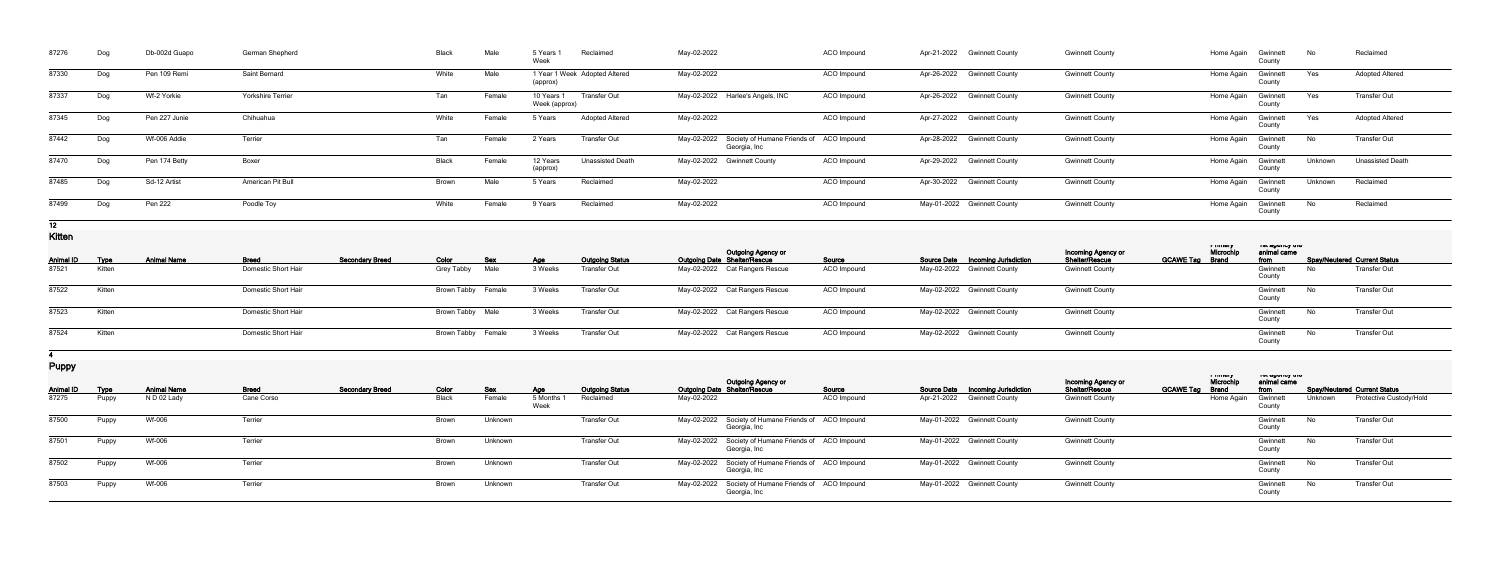| 87276 | Dog | Db-002d Guapo | German Shepherd          | <b>Black</b> | Male   | 5 Years<br>Week             | Reclaimed                     | May-02-2022                                                          | ACO Impound | Apr-21-2022 Gwinnett County | <b>Gwinnett County</b> | Home Again | Gwinnett<br>County | N∩      | Reclaimed               |
|-------|-----|---------------|--------------------------|--------------|--------|-----------------------------|-------------------------------|----------------------------------------------------------------------|-------------|-----------------------------|------------------------|------------|--------------------|---------|-------------------------|
| 87330 | Dog | Pen 109 Remi  | Saint Bernard            | White        | Male   | (approx)                    | 1 Year 1 Week Adopted Altered | May-02-2022                                                          | ACO Impound | Apr-26-2022 Gwinnett County | <b>Gwinnett County</b> | Home Again | Gwinnett<br>County | Yes     | <b>Adopted Altered</b>  |
| 87337 | Dog | Wf-2 Yorkie   | <b>Yorkshire Terrier</b> | Tan          | Female | 10 Years 1<br>Week (approx) | <b>Transfer Out</b>           | May-02-2022 Harlee's Angels, INC                                     | ACO Impound | Apr-26-2022 Gwinnett County | <b>Gwinnett County</b> | Home Again | Gwinnett<br>County | Yes     | Transfer Out            |
| 87345 | Dog | Pen 227 Junie | Chihuahua                | White        | Female | 5 Years                     | <b>Adopted Altered</b>        | May-02-2022                                                          | ACO Impound | Apr-27-2022 Gwinnett County | <b>Gwinnett County</b> | Home Again | Gwinnett<br>County | Yes     | <b>Adopted Altered</b>  |
| 87442 | Dog | Wf-006 Addie  | Terrier                  | Tan          | Female | 2 Years                     | Transfer Out                  | May-02-2022 Society of Humane Friends of ACO Impound<br>Georgia, Inc |             | Apr-28-2022 Gwinnett County | <b>Gwinnett County</b> | Home Again | Gwinnett<br>County | No      | <b>Transfer Out</b>     |
| 87470 | Dog | Pen 174 Betty | Boxer                    | Black        | Female | 12 Years<br>(approx)        | <b>Unassisted Death</b>       | May-02-2022 Gwinnett County                                          | ACO Impound | Apr-29-2022 Gwinnett County | <b>Gwinnett County</b> | Home Again | Gwinnett<br>County | Unknown | <b>Unassisted Death</b> |
| 87485 | Dog | Sd-12 Artist  | American Pit Bull        | Brown        | Male   | 5 Years                     | Reclaimed                     | May-02-2022                                                          | ACO Impound | Apr-30-2022 Gwinnett County | <b>Gwinnett County</b> | Home Again | Gwinnett<br>County | Unknown | Reclaimed               |
| 87499 | Dog | Pen 222       | Poodle Toy               | White        | Female | 9 Years                     | Reclaimed                     | May-02-2022                                                          | ACO Impound | May-01-2022 Gwinnett County | <b>Gwinnett County</b> | Home Again | Gwinnett<br>County | No      | Reclaimed               |

**12**

**Kitten**

| _________        |             |                    |                     |                        |                    |            |         |                        |                                                                  |                    |                                          |                                      | i muqiy                            | ו סג טאַ וויט אַ ט  |      |                                     |
|------------------|-------------|--------------------|---------------------|------------------------|--------------------|------------|---------|------------------------|------------------------------------------------------------------|--------------------|------------------------------------------|--------------------------------------|------------------------------------|---------------------|------|-------------------------------------|
| <b>Animal ID</b> | <b>Type</b> | <b>Animal Name</b> | <b>Breed</b>        | <b>Secondary Breed</b> | Color              | <b>Sex</b> | Age     | <b>Outgoing Status</b> | <b>Outgoing Agency or</b><br><b>Outgoing Date Shelter/Rescue</b> | <b>Source</b>      | <b>Source Date Incoming Jurisdiction</b> | Incoming Agency or<br>Shelter/Rescue | Microchi<br><b>GCAWE Tag Brand</b> | animal came<br>from |      | <b>Spay/Neutered Current Status</b> |
| 87521            | Kitten      |                    | Domestic Short Hair |                        | Grey Tabby Male    |            | 3 Weeks | <b>Transfer Out</b>    | May-02-2022 Cat Rangers Rescue                                   | ACO Impound        | May-02-2022 Gwinnett County              | <b>Gwinnett County</b>               |                                    | Gwinnett<br>County  | No.  | <b>Transfer Out</b>                 |
| 87522            | Kitten      |                    | Domestic Short Hair |                        | Brown Tabby Female |            | 3 Weeks | Transfer Out           | May-02-2022 Cat Rangers Rescue                                   | <b>ACO Impound</b> | May-02-2022 Gwinnett County              | <b>Gwinnett County</b>               |                                    | Gwinnett<br>County  | - No | <b>Transfer Out</b>                 |
| 87523            | Kitten      |                    | Domestic Short Hair |                        | Brown Tabby Male   |            | 3 Weeks | <b>Transfer Out</b>    | May-02-2022 Cat Rangers Rescue                                   | <b>ACO</b> Impound | May-02-2022 Gwinnett County              | <b>Gwinnett County</b>               |                                    | Gwinnett<br>County  | No.  | <b>Transfer Out</b>                 |
| 87524            | Kitten      |                    | Domestic Short Hair |                        | Brown Tabby Female |            | 3 Weeks | <b>Transfer Out</b>    | May-02-2022 Cat Rangers Rescue                                   | ACO Impound        | May-02-2022 Gwinnett County              | <b>Gwinnett County</b>               |                                    | Gwinnett<br>County  | No.  | Transfer Out                        |

**4**

**Puppy**

| $\mathbf{r}$ $\mathbf{r}$ $\mathbf{r}$ |             |                    |              |                        |       |         |                          |                        |                                                                      |                    |                                   |                                             |                                                         |                                            |         |                                     |
|----------------------------------------|-------------|--------------------|--------------|------------------------|-------|---------|--------------------------|------------------------|----------------------------------------------------------------------|--------------------|-----------------------------------|---------------------------------------------|---------------------------------------------------------|--------------------------------------------|---------|-------------------------------------|
| <b>Animal ID</b>                       | <b>Type</b> | <b>Animal Name</b> | <b>Breed</b> | <b>Secondary Breed</b> | Color | Sex     | Age                      | <b>Outgoing Status</b> | <b>Outgoing Agency or</b><br><b>Outgoing Date Shelter/Rescue</b>     | Source             | Source Date Incoming Jurisdiction | Incoming Agency or<br><b>Shelter/Rescue</b> | i muury<br>Microchi<br><b>GCAWE Tag</b><br><b>Brand</b> | ו סג טאַ וויט פו זי<br>animal came<br>from |         | <b>Spay/Neutered Current Status</b> |
| 87275                                  | Puppy       | N D 02 Lady        | Cane Corso   |                        | Black | Female  | 5 Months<br><b>vveek</b> | Reclaimed              | May-02-2022                                                          | <b>ACO</b> Impound | Apr-21-2022 Gwinnett County       | <b>Gwinnett County</b>                      |                                                         | Home Again<br>Gwinnett<br>Count            | Unknown | Protective Custody/Hold             |
| 87500                                  | Puppy       | Wf-006             | Terrier      |                        | Brown | Unknown |                          | <b>Transfer Out</b>    | May-02-2022 Society of Humane Friends of ACO Impound<br>Georgia, Inc |                    | May-01-2022 Gwinnett County       | <b>Gwinnett County</b>                      |                                                         | Gwinnett<br>County                         | No l    | Transfer Out                        |
| 87501                                  | Puppy       | Wf-006             | Terrier      |                        | Brown | Unknown |                          | Transfer Out           | May-02-2022 Society of Humane Friends of ACO Impound<br>Georgia, Inc |                    | May-01-2022 Gwinnett County       | <b>Gwinnett County</b>                      |                                                         | Gwinnett<br>County                         | No .    | Transfer Out                        |
| 87502                                  | Puppy       | Wf-006             | Terrier      |                        | Brown | Unknown |                          | <b>Transfer Out</b>    | May-02-2022 Society of Humane Friends of ACO Impound<br>Georgia, Inc |                    | May-01-2022 Gwinnett County       | <b>Gwinnett County</b>                      |                                                         | Gwinnett<br>County                         | No l    | Transfer Out                        |
| 87503                                  | Puppy       | Wf-006             | Terrier      |                        | Brown | Unknown |                          | Transfer Out           | May-02-2022 Society of Humane Friends of ACO Impound<br>Georgia, Inc |                    | May-01-2022 Gwinnett County       | <b>Gwinnett County</b>                      |                                                         | Gwinnett<br>County                         | No      | Transfer Out                        |